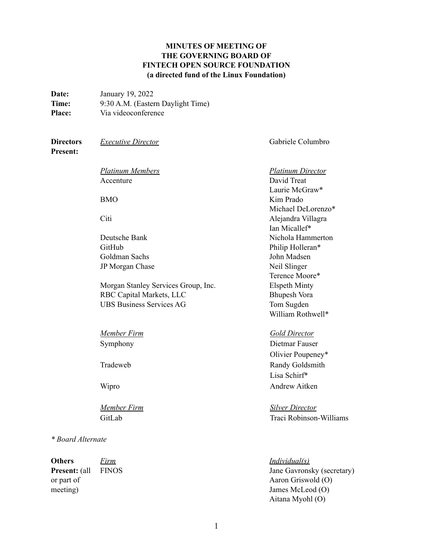## **MINUTES OF MEETING OF THE GOVERNING BOARD OF FINTECH OPEN SOURCE FOUNDATION (a directed fund of the Linux Foundation)**

| <b>Date:</b>  | January 19, 2022                  |
|---------------|-----------------------------------|
| Time:         | 9:30 A.M. (Eastern Daylight Time) |
| <b>Place:</b> | Via videoconference               |

or part of meeting)

# **Directors Present:** *Executive Director* Gabriele Columbro *Platinum Members Platinum Director* Accenture BMO Citi David Treat Laurie McGraw\* Kim Prado Michael DeLorenzo\* Alejandra Villagra Ian Micallef\* Deutsche Bank Nichola Hammerton GitHub Philip Holleran\* Goldman Sachs John Madsen JP Morgan Chase Neil Slinger Terence Moore\* Morgan Stanley Services Group, Inc. Elspeth Minty RBC Capital Markets, LLC Bhupesh Vora UBS Business Services AG Tom Sugden William Rothwell\* *Member Firm Gold Director* Symphony Dietmar Fauser Olivier Poupeney\* Tradeweb Randy Goldsmith Lisa Schirf\* Wipro Andrew Aitken *Member Firm Silver Director* GitLab Traci Robinson-Williams *\* Board Alternate* **Others Present:** (all *Firm* FINOS *Individual(s)*

Jane Gavronsky (secretary) Aaron Griswold (O) James McLeod (O) Aitana Myohl (O)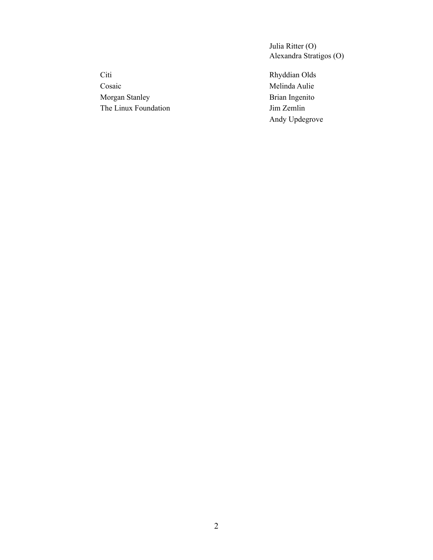Julia Ritter (O) Alexandra Stratigos (O)

Citi Rhyddian Olds Cosaic Melinda Aulie Morgan Stanley Brian Ingenito The Linux Foundation Jim Zemlin

Andy Updegrove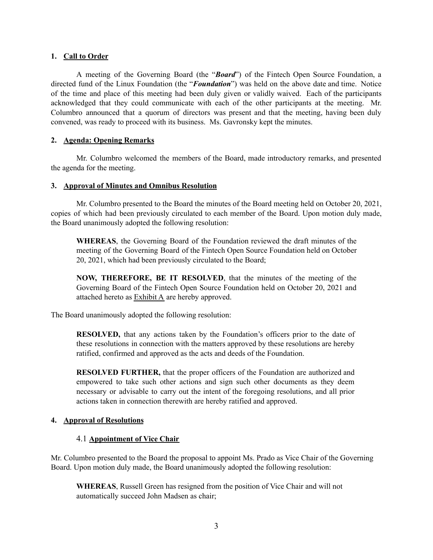### **1. Call to Order**

A meeting of the Governing Board (the "*Board*") of the Fintech Open Source Foundation, a directed fund of the Linux Foundation (the "*Foundation*") was held on the above date and time. Notice of the time and place of this meeting had been duly given or validly waived. Each of the participants acknowledged that they could communicate with each of the other participants at the meeting. Mr. Columbro announced that a quorum of directors was present and that the meeting, having been duly convened, was ready to proceed with its business. Ms. Gavronsky kept the minutes.

### **2. Agenda: Opening Remarks**

Mr. Columbro welcomed the members of the Board, made introductory remarks, and presented the agenda for the meeting.

### **3. Approval of Minutes and Omnibus Resolution**

Mr. Columbro presented to the Board the minutes of the Board meeting held on October 20, 2021, copies of which had been previously circulated to each member of the Board. Upon motion duly made, the Board unanimously adopted the following resolution:

**WHEREAS**, the Governing Board of the Foundation reviewed the draft minutes of the meeting of the Governing Board of the Fintech Open Source Foundation held on October 20, 2021, which had been previously circulated to the Board;

**NOW, THEREFORE, BE IT RESOLVED**, that the minutes of the meeting of the Governing Board of the Fintech Open Source Foundation held on October 20, 2021 and attached hereto as Exhibit A are hereby approved.

The Board unanimously adopted the following resolution:

**RESOLVED,** that any actions taken by the Foundation's officers prior to the date of these resolutions in connection with the matters approved by these resolutions are hereby ratified, confirmed and approved as the acts and deeds of the Foundation.

**RESOLVED FURTHER,** that the proper officers of the Foundation are authorized and empowered to take such other actions and sign such other documents as they deem necessary or advisable to carry out the intent of the foregoing resolutions, and all prior actions taken in connection therewith are hereby ratified and approved.

# **4. Approval of Resolutions**

# 4.1 **Appointment of Vice Chair**

Mr. Columbro presented to the Board the proposal to appoint Ms. Prado as Vice Chair of the Governing Board. Upon motion duly made, the Board unanimously adopted the following resolution:

**WHEREAS**, Russell Green has resigned from the position of Vice Chair and will not automatically succeed John Madsen as chair;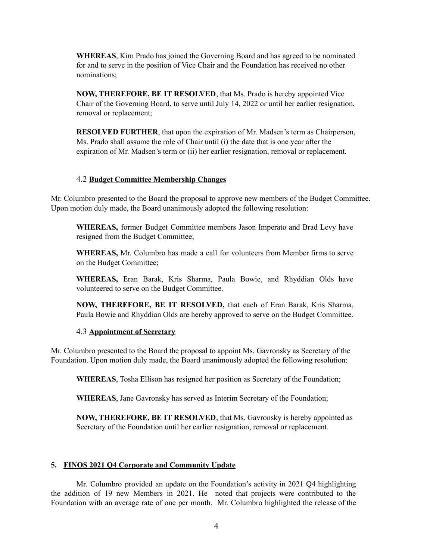**WHEREAS**, Kim Prado has joined the Governing Board and has agreed to be nominated for and to serve in the position of Vice Chair and the Foundation has received no other nominations;

**NOW, THEREFORE, BE IT RESOLVED**, that Ms. Prado is hereby appointed Vice Chair of the Governing Board, to serve until July 14, 2022 or until her earlier resignation, removal or replacement;

**RESOLVED FURTHER**, that upon the expiration of Mr. Madsen's term as Chairperson, Ms. Prado shall assume the role of Chair until (i) the date that is one year after the expiration of Mr. Madsen's term or (ii) her earlier resignation, removal or replacement.

#### 4.2 **Budget Committee Membership Changes**

Mr. Columbro presented to the Board the proposal to approve new members of the Budget Committee. Upon motion duly made, the Board unanimously adopted the following resolution:

**WHEREAS,** former Budget Committee members Jason Imperato and Brad Levy have resigned from the Budget Committee;

**WHEREAS,** Mr. Columbro has made a call for volunteers from Member firms to serve on the Budget Committee;

**WHEREAS,** Eran Barak, Kris Sharma, Paula Bowie, and Rhyddian Olds have volunteered to serve on the Budget Committee.

**NOW, THEREFORE, BE IT RESOLVED,** that each of Eran Barak, Kris Sharma, Paula Bowie and Rhyddian Olds are hereby approved to serve on the Budget Committee.

#### 4.3 **Appointment of Secretary**

Mr. Columbro presented to the Board the proposal to appoint Ms. Gavronsky as Secretary of the Foundation. Upon motion duly made, the Board unanimously adopted the following resolution:

**WHEREAS**, Tosha Ellison has resigned her position as Secretary of the Foundation;

**WHEREAS**, Jane Gavronsky has served as Interim Secretary of the Foundation;

**NOW, THEREFORE, BE IT RESOLVED**, that Ms. Gavronsky is hereby appointed as Secretary of the Foundation until her earlier resignation, removal or replacement.

#### **5. FINOS 2021 Q4 Corporate and Community Update**

Mr. Columbro provided an update on the Foundation's activity in 2021 Q4 highlighting the addition of 19 new Members in 2021. He noted that projects were contributed to the Foundation with an average rate of one per month. Mr. Columbro highlighted the release of the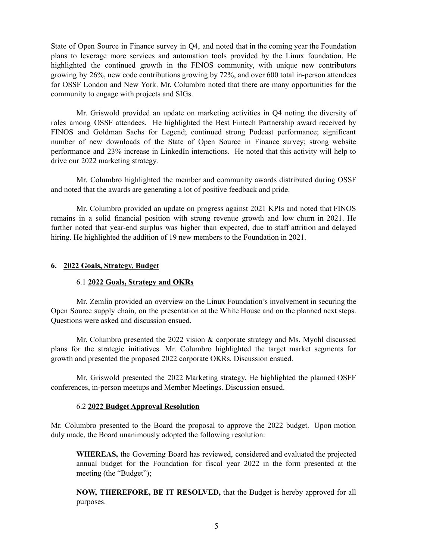State of Open Source in Finance survey in Q4, and noted that in the coming year the Foundation plans to leverage more services and automation tools provided by the Linux foundation. He highlighted the continued growth in the FINOS community, with unique new contributors growing by 26%, new code contributions growing by 72%, and over 600 total in-person attendees for OSSF London and New York. Mr. Columbro noted that there are many opportunities for the community to engage with projects and SIGs.

Mr. Griswold provided an update on marketing activities in Q4 noting the diversity of roles among OSSF attendees. He highlighted the Best Fintech Partnership award received by FINOS and Goldman Sachs for Legend; continued strong Podcast performance; significant number of new downloads of the State of Open Source in Finance survey; strong website performance and 23% increase in LinkedIn interactions. He noted that this activity will help to drive our 2022 marketing strategy.

Mr. Columbro highlighted the member and community awards distributed during OSSF and noted that the awards are generating a lot of positive feedback and pride.

Mr. Columbro provided an update on progress against 2021 KPIs and noted that FINOS remains in a solid financial position with strong revenue growth and low churn in 2021. He further noted that year-end surplus was higher than expected, due to staff attrition and delayed hiring. He highlighted the addition of 19 new members to the Foundation in 2021.

#### **6. 2022 Goals, Strategy, Budget**

#### 6.1 **2022 Goals, Strategy and OKRs**

Mr. Zemlin provided an overview on the Linux Foundation's involvement in securing the Open Source supply chain, on the presentation at the White House and on the planned next steps. Questions were asked and discussion ensued.

Mr. Columbro presented the 2022 vision & corporate strategy and Ms. Myohl discussed plans for the strategic initiatives. Mr. Columbro highlighted the target market segments for growth and presented the proposed 2022 corporate OKRs. Discussion ensued.

Mr. Griswold presented the 2022 Marketing strategy. He highlighted the planned OSFF conferences, in-person meetups and Member Meetings. Discussion ensued.

#### 6.2 **2022 Budget Approval Resolution**

Mr. Columbro presented to the Board the proposal to approve the 2022 budget. Upon motion duly made, the Board unanimously adopted the following resolution:

**WHEREAS,** the Governing Board has reviewed, considered and evaluated the projected annual budget for the Foundation for fiscal year 2022 in the form presented at the meeting (the "Budget");

**NOW, THEREFORE, BE IT RESOLVED,** that the Budget is hereby approved for all purposes.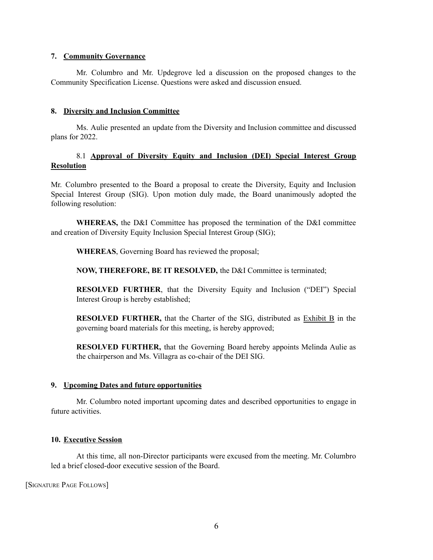### **7. Community Governance**

Mr. Columbro and Mr. Updegrove led a discussion on the proposed changes to the Community Specification License. Questions were asked and discussion ensued.

### **8. Diversity and Inclusion Committee**

Ms. Aulie presented an update from the Diversity and Inclusion committee and discussed plans for 2022.

### 8.1 **Approval of Diversity Equity and Inclusion (DEI) Special Interest Group Resolution**

Mr. Columbro presented to the Board a proposal to create the Diversity, Equity and Inclusion Special Interest Group (SIG). Upon motion duly made, the Board unanimously adopted the following resolution:

**WHEREAS,** the D&I Committee has proposed the termination of the D&I committee and creation of Diversity Equity Inclusion Special Interest Group (SIG);

**WHEREAS**, Governing Board has reviewed the proposal;

**NOW, THEREFORE, BE IT RESOLVED,** the D&I Committee is terminated;

**RESOLVED FURTHER**, that the Diversity Equity and Inclusion ("DEI") Special Interest Group is hereby established;

**RESOLVED FURTHER,** that the Charter of the SIG, distributed as Exhibit B in the governing board materials for this meeting, is hereby approved;

**RESOLVED FURTHER,** that the Governing Board hereby appoints Melinda Aulie as the chairperson and Ms. Villagra as co-chair of the DEI SIG.

#### **9. Upcoming Dates and future opportunities**

Mr. Columbro noted important upcoming dates and described opportunities to engage in future activities.

#### **10. Executive Session**

At this time, all non-Director participants were excused from the meeting. Mr. Columbro led a brief closed-door executive session of the Board.

[SIGNATURE PAGE FOLLOWS]